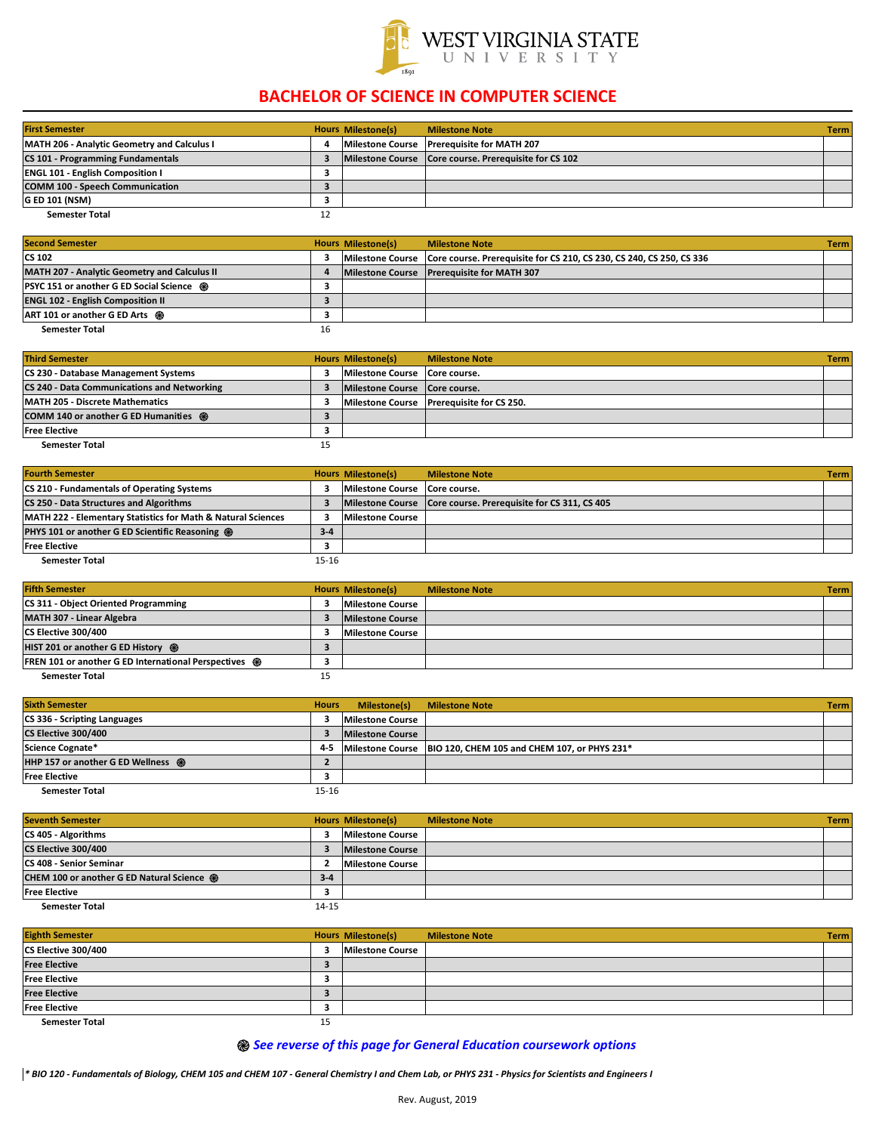| <b>First Semester</b>                              | <b>Hours Milestone(s)</b> | <b>Milestone Note</b>                                   | <b>Term</b> |
|----------------------------------------------------|---------------------------|---------------------------------------------------------|-------------|
| <b>MATH 206 - Analytic Geometry and Calculus I</b> |                           | Milestone Course   Prerequisite for MATH 207            |             |
| <b>CS 101 - Programming Fundamentals</b>           |                           | Milestone Course   Core course. Prerequisite for CS 102 |             |
| <b>ENGL 101 - English Composition I</b>            |                           |                                                         |             |
| <b>COMM 100 - Speech Communication</b>             |                           |                                                         |             |
| <b>G ED 101 (NSM)</b>                              |                           |                                                         |             |
| <b>Semester Total</b>                              |                           |                                                         |             |

| <b>Second Semester</b>                              |    | <b>Hours Milestone(s)</b> | <b>Milestone Note</b>                                                                 | <b>Term</b> |
|-----------------------------------------------------|----|---------------------------|---------------------------------------------------------------------------------------|-------------|
| <b>CS 102</b>                                       |    |                           | Milestone Course Core course. Prerequisite for CS 210, CS 230, CS 240, CS 250, CS 336 |             |
| <b>MATH 207 - Analytic Geometry and Calculus II</b> |    |                           | Milestone Course   Prerequisite for MATH 307                                          |             |
| <b>PSYC 151 or another G ED Social Science ֎</b>    |    |                           |                                                                                       |             |
| <b>ENGL 102 - English Composition II</b>            |    |                           |                                                                                       |             |
| <b>ART 101 or another G ED Arts @</b>               |    |                           |                                                                                       |             |
| <b>Semester Total</b>                               | 16 |                           |                                                                                       |             |

| <b>Third Semester</b>                              | <b>Hours Milestone(s)</b>       | <b>Milestone Note</b>                       | <b>Term</b> |
|----------------------------------------------------|---------------------------------|---------------------------------------------|-------------|
| <b>CS 230 - Database Management Systems</b>        | Milestone Course   Core course. |                                             |             |
| <b>CS 240 - Data Communications and Networking</b> | Milestone Course   Core course. |                                             |             |
| <b>MATH 205 - Discrete Mathematics</b>             |                                 | Milestone Course   Prerequisite for CS 250. |             |
| COMM 140 or another G ED Humanities ֎              |                                 |                                             |             |
| <b>Free Elective</b>                               |                                 |                                             |             |
| <b>Semester Total</b>                              |                                 |                                             |             |

| <b>Fourth Semester</b>                                       |         | <b>Hours Milestone(s)</b>       | <b>Milestone Note</b>                                           | <b>Term</b> |
|--------------------------------------------------------------|---------|---------------------------------|-----------------------------------------------------------------|-------------|
| <b>CS 210 - Fundamentals of Operating Systems</b>            |         | Milestone Course   Core course. |                                                                 |             |
| CS 250 - Data Structures and Algorithms                      |         |                                 | Milestone Course   Core course. Prerequisite for CS 311, CS 405 |             |
| MATH 222 - Elementary Statistics for Math & Natural Sciences |         | <b>Milestone Course</b>         |                                                                 |             |
| <b>PHYS 101 or another G ED Scientific Reasoning @</b>       | $3 - 4$ |                                 |                                                                 |             |
| <b>Free Elective</b>                                         |         |                                 |                                                                 |             |
| <b>Semester Total</b>                                        | 15-16   |                                 |                                                                 |             |

| <b>Fifth Semester</b>                                        | <b>Hours Milestone(s)</b> | <b>Milestone Note</b> | Term |
|--------------------------------------------------------------|---------------------------|-----------------------|------|
| <b>CS 311 - Object Oriented Programming</b>                  | <b>Milestone Course</b>   |                       |      |
| MATH 307 - Linear Algebra                                    | <b>Milestone Course</b>   |                       |      |
| CS Elective 300/400                                          | <b>Milestone Course</b>   |                       |      |
| HIST 201 or another G ED History @                           |                           |                       |      |
| <b>FREN 101 or another G ED International Perspectives @</b> |                           |                       |      |
| <b>Semester Total</b>                                        |                           |                       |      |

| <b>Sixth Semester</b>               | <b>Hours</b> | <b>Milestone(s)</b>     | <b>Milestone Note</b>                                              | <b>Term</b> |
|-------------------------------------|--------------|-------------------------|--------------------------------------------------------------------|-------------|
| <b>CS 336 - Scripting Languages</b> |              | <b>Milestone Course</b> |                                                                    |             |
| CS Elective 300/400                 |              | <b>Milestone Course</b> |                                                                    |             |
| Science Cognate*                    | $4 - 5$      |                         | Milestone Course   BIO 120, CHEM 105 and CHEM 107, or PHYS 231 $*$ |             |
| HHP 157 or another G ED Wellness @  |              |                         |                                                                    |             |
| <b>Free Elective</b>                |              |                         |                                                                    |             |
| <b>Semester Total</b>               | 15-16        |                         |                                                                    |             |

| <b>Seventh Semester</b>                           |         | <b>Hours Milestone(s)</b> | <b>Milestone Note</b> | <b>Term</b> |
|---------------------------------------------------|---------|---------------------------|-----------------------|-------------|
| <b>CS 405 - Algorithms</b>                        |         | <b>Milestone Course</b>   |                       |             |
| CS Elective 300/400                               |         | <b>Milestone Course</b>   |                       |             |
| <b>CS 408 - Senior Seminar</b>                    |         | <b>Milestone Course</b>   |                       |             |
| <b>CHEM 100 or another G ED Natural Science @</b> | $3 - 4$ |                           |                       |             |
| <b>Free Elective</b>                              |         |                           |                       |             |
| <b>Semester Total</b>                             | 14-15   |                           |                       |             |

| <b>Eighth Semester</b> |   | <b>Hours Milestone(s)</b> | <b>Milestone Note</b> | Term |
|------------------------|---|---------------------------|-----------------------|------|
| CS Elective 300/400    |   | <b>Milestone Course</b>   |                       |      |
| <b>Free Elective</b>   |   |                           |                       |      |
| <b>Free Elective</b>   |   |                           |                       |      |
| <b>Free Elective</b>   |   |                           |                       |      |
| <b>Free Elective</b>   |   |                           |                       |      |
| <b>Semester Total</b>  | ᅩ |                           |                       |      |

## **֎** *See reverse of this page for General Education coursework options*

*\* BIO 120 - Fundamentals of Biology, CHEM 105 and CHEM 107 - General Chemistry I and Chem Lab, or PHYS 231 - Physics for Scientists and Engineers I*



## **BACHELOR OF SCIENCE IN COMPUTER SCIENCE**

Rev. August, 2019